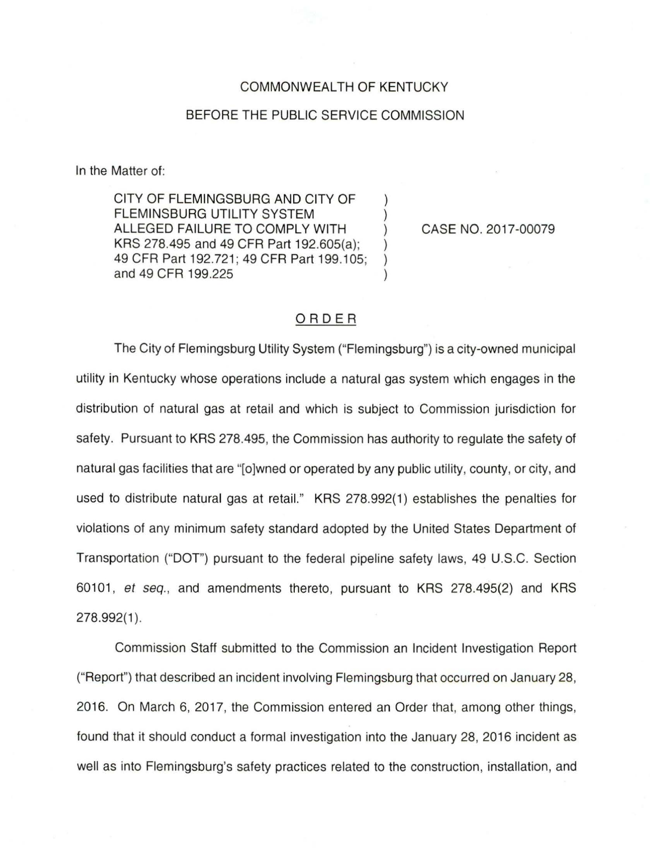## COMMONWEALTH OF KENTUCKY

## BEFORE THE PUBLIC SERVICE COMMISSION

In the Matter of:

CITY OF FLEMINGSBURG AND CITY OF FLEMINSBURG UTILITY SYSTEM ALLEGED FAILURE TO COMPLY WITH KRS 278.495 and 49 CFR Part 192.605(a); 49 CFR Part 192.721; 49 CFR Part 199.105: ) and 49 CFR 199.225 )

CASE NO. 2017-00079

## ORDER

The City of Flemingsburg Utility System ("Flemingsburg") is a city-owned municipal utility in Kentucky whose operations include a natural gas system which engages in the distribution of natural gas at retail and which is subject to Commission jurisdiction for safety. Pursuant to KRS 278.495, the Commission has authority to regulate the safety of natural gas facilities that are "(o]wned or operated by any public utility, county, or city, and used to distribute natural gas at retail." KRS 278.992(1) establishes the penalties for violations of any minimum safety standard adopted by the United States Department of Transportation ("DOT") pursuant to the federal pipeline safety laws, 49 U.S.C. Section 60101 , *et* seq., and amendments thereto, pursuant to KRS 278.495(2) and KRS 278.992(1 ).

Commission Staff submitted to the Commission an Incident Investigation Report ("Report") that described an incident involving Flemingsburg that occurred on January 28, 2016. On March 6, 2017, the Commission entered an Order that, among other things, found that it should conduct a formal investigation into the January 28, 2016 incident as well as into Flemingsburg's safety practices related to the construction, installation, and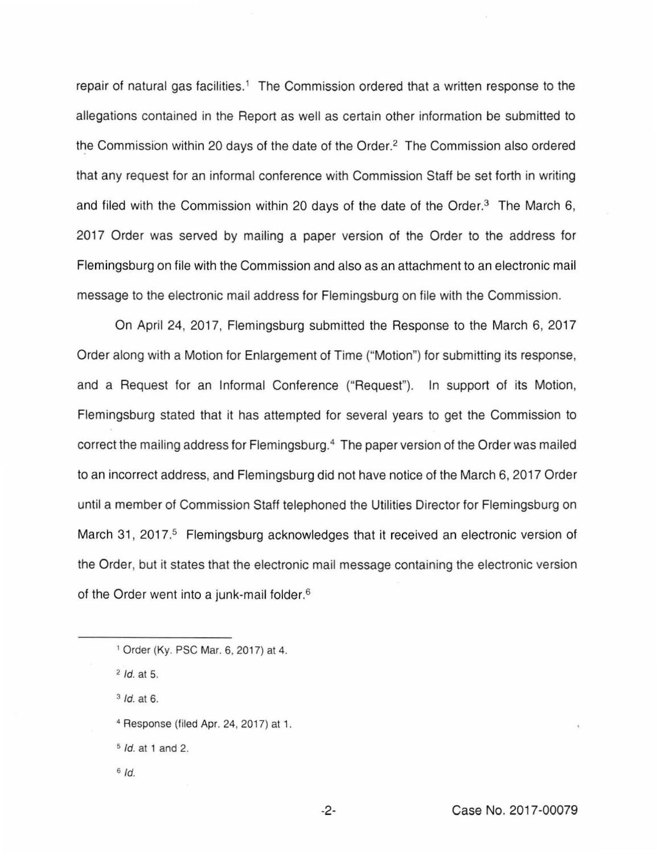repair of natural gas facilities.<sup>1</sup> The Commission ordered that a written response to the allegations contained in the Report as well as certain other information be submitted to the Commission within 20 days of the date of the Order. 2 The Commission also ordered that any request for an informal conference with Commission Staff be set forth in writing and filed with the Commission within 20 days of the date of the Order.<sup>3</sup> The March 6, 2017 Order was served by mailing a paper version of the Order to the address for Flemingsburg on file with the Commission and also as an attachment to an electronic mail message to the electronic mail address for Flemingsburg on file with the Commission.

On April 24, 2017, Flemingsburg submitted the Response to the March 6, 2017 Order along with a Motion for Enlargement of Time ("Motion") for submitting its response, and a Request for an Informal Conference ("Request"). In support of its Motion, Flemingsburg stated that it has attempted for several years to get the Commission to correct the mailing address for Flemingsburg.<sup>4</sup> The paper version of the Order was mailed to an incorrect address, and Flemingsburg did not have notice of the March 6, 2017 Order until a member of Commission Staff telephoned the Utilities Director for Flemingsburg on March 31, 2017.<sup>5</sup> Flemingsburg acknowledges that it received an electronic version of the Order, but it states that the electronic mail message containing the electronic version of the Order went into a junk-mail folder. 6

<sup>3</sup>*/d.* at 6.

- <sup>4</sup>Response (filed Apr. 24, 2017) at 1.
- s */d.* at 1 and 2.
- <sup>6</sup>*/d.*

<sup>1</sup>Order (Ky. PSC Mar. 6, 2017) at 4.

<sup>2</sup>*!d.* at 5.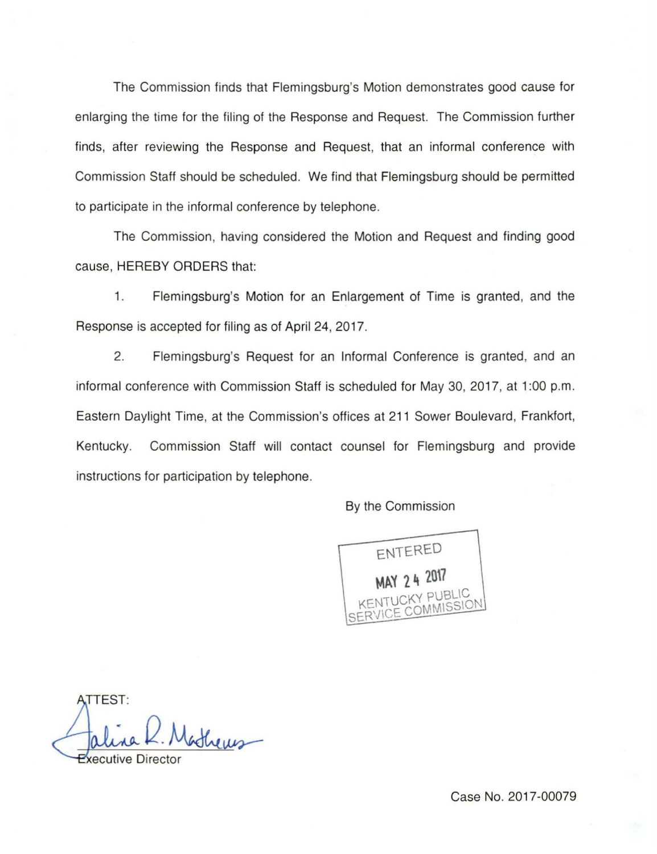The Commission finds that Flemingsburg's Motion demonstrates good cause for enlarging the time for the filing of the Response and Request. The Commission further finds, after reviewing the Response and Request, that an informal conference with Commission Staff should be scheduled. We find that Flemingsburg should be permitted to participate in the informal conference by telephone.

The Commission, having considered the Motion and Request and finding good cause, HEREBY ORDERS that:

1. Flemingsburg's Motion for an Enlargement of Time is granted, and the Response is accepted for filing as of April 24, 2017.

2. Flemingsburg's Request for an Informal Conference is granted, and an informal conference with Commission Staff is scheduled for May 30, 2017, at 1:00 p.m. Eastern Daylight Time, at the Commission's offices at 211 Sower Boulevard, Frankfort, Kentucky. Commission Staff will contact counsel for Flemingsburg and provide instructions for participation by telephone.

By the Commission

ENTERED **MAY 24 2017** KY PUBLIC KENTOL COMMISSION

**TTEST:** entheres ecutive Direc

Case No. 2017-00079